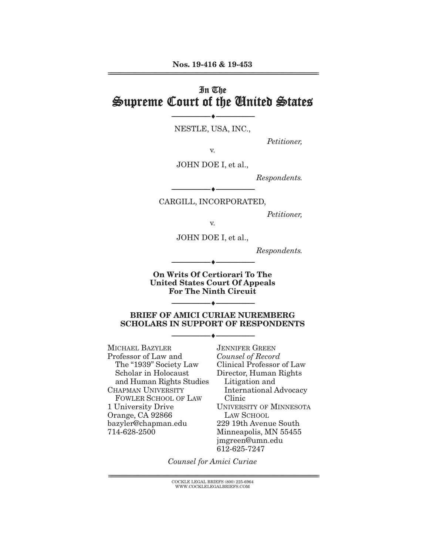# In The Supreme Court of the United States

NESTLE, USA, INC.,

--------------------------------- ♦ ---------------------------------

*Petitioner,* 

v.

JOHN DOE I, et al.,

*Respondents.* 

--------------------------------- ♦ --------------------------------- CARGILL, INCORPORATED,

*Petitioner,* 

v.

JOHN DOE I, et al.,

*Respondents.* 

**On Writs Of Certiorari To The United States Court Of Appeals For The Ninth Circuit** 

--------------------------------- ♦ ---------------------------------

**BRIEF OF AMICI CURIAE NUREMBERG SCHOLARS IN SUPPORT OF RESPONDENTS** 

--------------------------------- ♦ ---------------------------------

--------------------------------- ♦ ---------------------------------

MICHAEL BAZYLER Professor of Law and The "1939" Society Law Scholar in Holocaust and Human Rights Studies CHAPMAN UNIVERSITY FOWLER SCHOOL OF LAW 1 University Drive Orange, CA 92866 bazyler@chapman.edu 714-628-2500

JENNIFER GREEN *Counsel of Record* Clinical Professor of Law Director, Human Rights Litigation and International Advocacy Clinic UNIVERSITY OF MINNESOTA LAW SCHOOL 229 19th Avenue South Minneapolis, MN 55455 jmgreen@umn.edu 612-625-7247

*Counsel for Amici Curiae* 

 ${ \rm COCKLE}$  LEGAL BRIEFS (800) 225-6964 WWW.COCKLELEGALBRIEFS.COM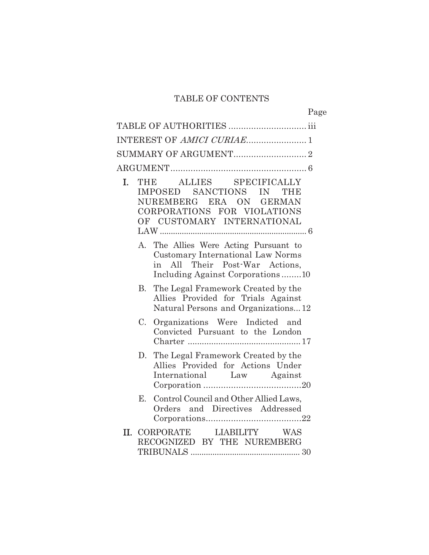### TABLE OF CONTENTS

|    |    |                                                                                                                                                      | Page |
|----|----|------------------------------------------------------------------------------------------------------------------------------------------------------|------|
|    |    |                                                                                                                                                      |      |
|    |    |                                                                                                                                                      |      |
|    |    |                                                                                                                                                      |      |
|    |    |                                                                                                                                                      |      |
| L. |    | ALLIES SPECIFICALLY<br>THE<br>IMPOSED SANCTIONS IN<br>THD<br>NUREMBERG ERA ON GERMAN<br>CORPORATIONS FOR VIOLATIONS<br>OF CUSTOMARY INTERNATIONAL    |      |
|    | А. | The Allies Were Acting Pursuant to<br><b>Customary International Law Norms</b><br>in All Their Post-War Actions,<br>Including Against Corporations10 |      |
|    | B. | The Legal Framework Created by the<br>Allies Provided for Trials Against<br>Natural Persons and Organizations12                                      |      |
|    | C. | Organizations Were Indicted and<br>Convicted Pursuant to the London                                                                                  |      |
|    | D. | The Legal Framework Created by the<br>Allies Provided for Actions Under<br>International Law Against                                                 |      |
|    | Е. | Control Council and Other Allied Laws,<br>Orders and Directives Addressed                                                                            |      |
|    |    | II. CORPORATE LIABILITY WAS<br>RECOGNIZED BY THE NUREMBERG                                                                                           |      |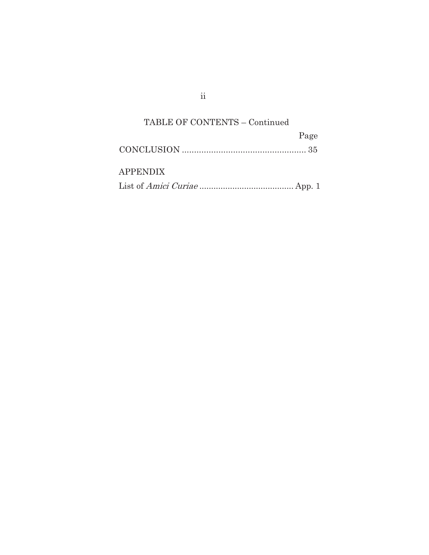# TABLE OF CONTENTS – Continued

|                 | Page |
|-----------------|------|
|                 |      |
| <b>APPENDIX</b> |      |
|                 |      |

ii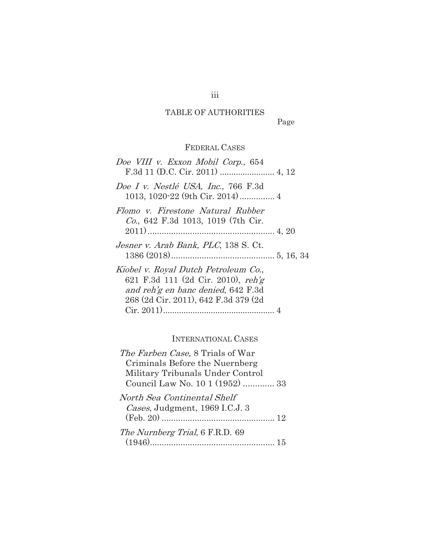## TABLE OF AUTHORITIES

Page

### FEDERAL CASES

| Doe VIII v. Exxon Mobil Corp., 654                                                                                                                       |
|----------------------------------------------------------------------------------------------------------------------------------------------------------|
| Doe I v. Nestlé USA, Inc., 766 F.3d                                                                                                                      |
| Flomo v. Firestone Natural Rubber<br>Co., 642 F.3d 1013, 1019 (7th Cir.                                                                                  |
| Jesner v. Arab Bank, PLC, 138 S. Ct.                                                                                                                     |
| Kiobel v. Royal Dutch Petroleum Co.,<br>621 F.3d 111 (2d Cir. 2010), reh'g<br>and reh'g en banc denied, 642 F.3d<br>268 (2d Cir. 2011), 642 F.3d 379 (2d |

### INTERNATIONAL CASES

| <i>The Farben Case</i> , 8 Trials of War<br>Criminals Before the Nuernberg |  |
|----------------------------------------------------------------------------|--|
| Military Tribunals Under Control<br>Council Law No. 10 1 (1952)  33        |  |
| North Sea Continental Shelf<br>Cases, Judgment, 1969 I.C.J. 3              |  |
| The Nurnberg Trial, 6 F.R.D. 69                                            |  |
|                                                                            |  |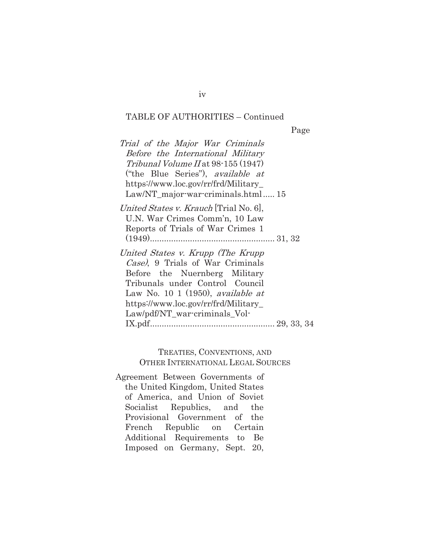Page

| U.N. War Crimes Comm'n, 10 Law<br>Reports of Trials of War Crimes 1<br>Case), 9 Trials of War Criminals<br>Before the Nuernberg Military<br>Tribunals under Control Council<br>Law No. 10 1 (1950), <i>available at</i><br>https://www.loc.gov/rr/frd/Military_ | Trial of the Major War Criminals<br>Before the International Military<br>$Tribunal Volume II$ at 98-155 (1947)<br>("the Blue Series"), <i>available at</i><br>https://www.loc.gov/rr/frd/Military_<br>Law/NT_major-war-criminals.html 15 |
|-----------------------------------------------------------------------------------------------------------------------------------------------------------------------------------------------------------------------------------------------------------------|------------------------------------------------------------------------------------------------------------------------------------------------------------------------------------------------------------------------------------------|
|                                                                                                                                                                                                                                                                 | <i>United States v. Krauch</i> Trial No. 6.                                                                                                                                                                                              |
|                                                                                                                                                                                                                                                                 | United States v. Krupp (The Krupp)<br>Law/pdf/NT_war-criminals_Vol-                                                                                                                                                                      |

#### TREATIES, CONVENTIONS, AND OTHER INTERNATIONAL LEGAL SOURCES

Agreement Between Governments of the United Kingdom, United States of America, and Union of Soviet Socialist Republics, and the Provisional Government of the French Republic on Certain Additional Requirements to Be Imposed on Germany, Sept. 20,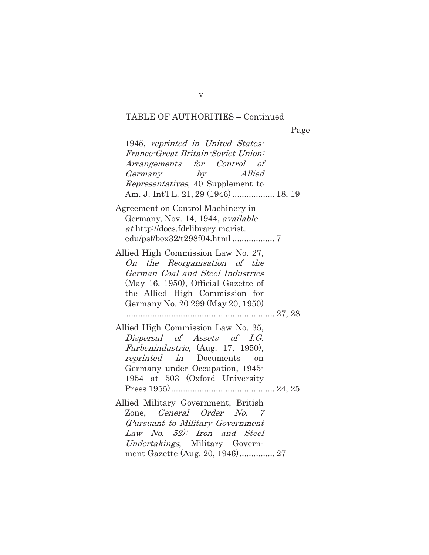| 1945, reprinted in United States-<br>France-Great Britain-Soviet Union:<br>Arrangements for Control of<br>Germany by Allied<br>Representatives, 40 Supplement to<br>Am. J. Int'l L. 21, 29 (1946)  18, 19            |
|----------------------------------------------------------------------------------------------------------------------------------------------------------------------------------------------------------------------|
| Agreement on Control Machinery in<br>Germany, Nov. 14, 1944, available<br><i>at</i> http://docs.fdrlibrary.marist.                                                                                                   |
| Allied High Commission Law No. 27,<br>On the Reorganisation of the<br>German Coal and Steel Industries<br>(May 16, 1950), Official Gazette of<br>the Allied High Commission for<br>Germany No. 20 299 (May 20, 1950) |
| Allied High Commission Law No. 35,<br>Dispersal of Assets of I.G.<br><i>Farbenindustrie</i> , (Aug. 17, 1950),<br>reprinted in Documents on<br>Germany under Occupation, 1945-<br>1954 at 503 (Oxford University     |
| Allied Military Government, British<br>Zone, <i>General Order No.</i> 7<br>(Pursuant to Military Government<br>Law No. 52): Iron and Steel<br>Undertakings, Military Govern-<br>ment Gazette (Aug. 20, 1946) 27      |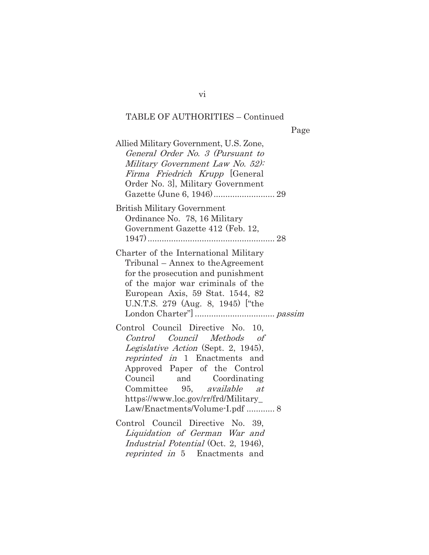| Allied Military Government, U.S. Zone,<br>General Order No. 3 (Pursuant to<br>Military Government Law No. 52):<br>Firma Friedrich Krupp [General<br>Order No. 3], Military Government                                                                                                                        |  |
|--------------------------------------------------------------------------------------------------------------------------------------------------------------------------------------------------------------------------------------------------------------------------------------------------------------|--|
| <b>British Military Government</b><br>Ordinance No. 78, 16 Military<br>Government Gazette 412 (Feb. 12,                                                                                                                                                                                                      |  |
| Charter of the International Military<br>Tribunal – Annex to the Agreement<br>for the prosecution and punishment<br>of the major war criminals of the<br>European Axis, 59 Stat. 1544, 82<br>U.N.T.S. 279 (Aug. 8, 1945) ["the                                                                               |  |
| Control Council Directive No. 10,<br>Control Council Methods of<br>Legislative Action (Sept. 2, 1945),<br>reprinted in 1 Enactments and<br>Approved Paper of the Control<br>Council and Coordinating<br>Committee 95, available at<br>https://www.loc.gov/rr/frd/Military_<br>Law/Enactments/Volume-I.pdf  8 |  |
| Control Council Directive No. 39,<br>Liquidation of German War and<br><i>Industrial Potential</i> (Oct. 2, 1946),<br>reprinted in 5 Enactments and                                                                                                                                                           |  |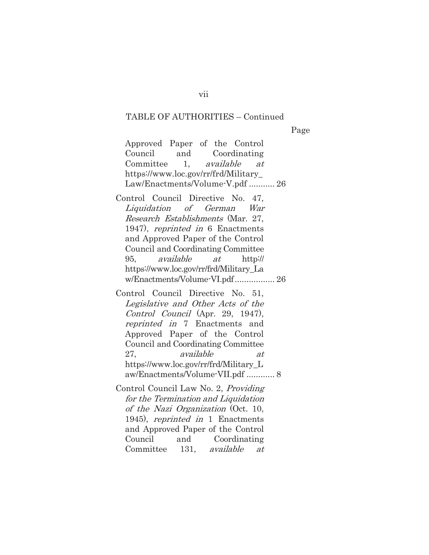Page

Approved Paper of the Control Council and Coordinating Committee 1, available at https://www.loc.gov/rr/frd/Military\_ Law/Enactments/Volume-V.pdf ........... 26

Control Council Directive No. 47, Liquidation of German War Research Establishments (Mar. 27, 1947), reprinted in 6 Enactments and Approved Paper of the Control Council and Coordinating Committee 95, available at http:// https://www.loc.gov/rr/frd/Military\_La w/Enactments/Volume-VI.pdf ................. 26

Control Council Directive No. 51, Legislative and Other Acts of the Control Council (Apr. 29, 1947), reprinted in 7 Enactments and Approved Paper of the Control Council and Coordinating Committee 27, available at https://www.loc.gov/rr/frd/Military\_L aw/Enactments/Volume-VII.pdf ............ 8

Control Council Law No. 2, Providing for the Termination and Liquidation of the Nazi Organization (Oct. 10, 1945), reprinted in 1 Enactments and Approved Paper of the Control Council and Coordinating Committee 131, available at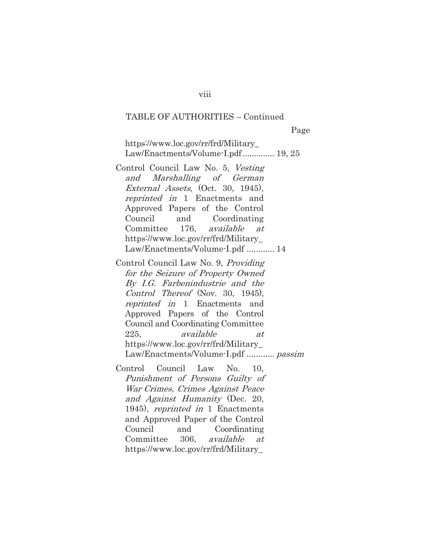https://www.loc.gov/rr/frd/Military\_ Law/Enactments/Volume-I.pdf............... 19, 25

- Control Council Law No. 5, Vesting and Marshalling of German External Assets, (Oct. 30, 1945), reprinted in 1 Enactments and Approved Papers of the Control Council and Coordinating Committee 176, available at https://www.loc.gov/rr/frd/Military\_ Law/Enactments/Volume-I.pdf ............ 14
- Control Council Law No. 9, Providing for the Seizure of Property Owned By I.G. Farbenindustrie and the Control Thereof (Nov. 30, 1945), reprinted in 1 Enactments and Approved Papers of the Control Council and Coordinating Committee 225, available at https://www.loc.gov/rr/frd/Military\_ Law/Enactments/Volume-I.pdf ............ passim

Control Council Law No. 10, Punishment of Persons Guilty of War Crimes, Crimes Against Peace and Against Humanity (Dec. 20, 1945), reprinted in 1 Enactments and Approved Paper of the Control Council and Coordinating Committee 306, available at https://www.loc.gov/rr/frd/Military\_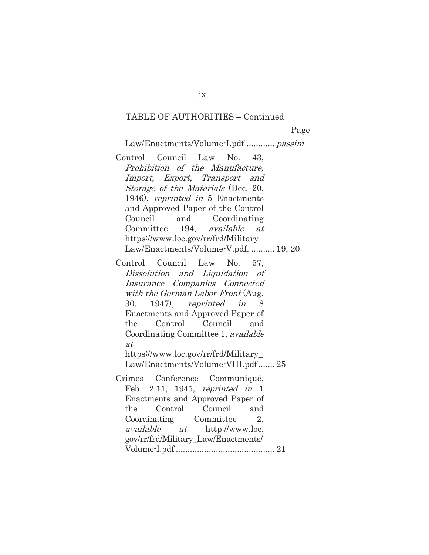Page

Law/Enactments/Volume-I.pdf ............ passim

Control Council Law No. 43, Prohibition of the Manufacture, Import, Export, Transport and Storage of the Materials (Dec. 20, 1946), reprinted in 5 Enactments and Approved Paper of the Control Council and Coordinating Committee 194, available at https://www.loc.gov/rr/frd/Military\_ Law/Enactments/Volume-V.pdf. .......... 19, 20

Control Council Law No. 57, Dissolution and Liquidation of Insurance Companies Connected with the German Labor Front (Aug. 30, 1947), reprinted in 8 Enactments and Approved Paper of the Control Council and Coordinating Committee 1, *available* at https://www.loc.gov/rr/frd/Military\_ Law/Enactments/Volume-VIII.pdf ....... 25 Crimea Conference Communiqué, Feb. 2-11, 1945, reprinted in 1 Enactments and Approved Paper of the Control Council and Coordinating Committee 2, available at http://www.loc.

gov/rr/frd/Military\_Law/Enactments/ Volume-I.pdf .......................................... 21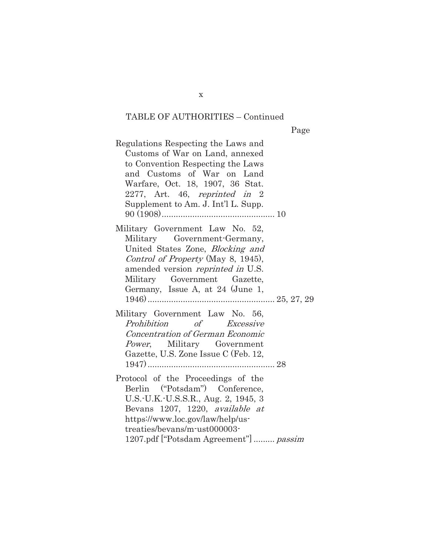Page

Regulations Respecting the Laws and Customs of War on Land, annexed to Convention Respecting the Laws and Customs of War on Land Warfare, Oct. 18, 1907, 36 Stat. 2277, Art. 46, reprinted in 2 Supplement to Am. J. Int'l L. Supp. 90 (1908) ................................................ 10 Military Government Law No. 52, Military Government-Germany, United States Zone, Blocking and Control of Property (May 8, 1945), amended version reprinted in U.S. Military Government Gazette, Germany, Issue A, at 24 (June 1, 1946) ...................................................... 25, 27, 29 Military Government Law No. 56, Prohibition of Excessive Concentration of German Economic Power, Military Government Gazette, U.S. Zone Issue C (Feb. 12, 1947) ...................................................... 28 Protocol of the Proceedings of the Berlin ("Potsdam") Conference, U.S.-U.K.-U.S.S.R., Aug. 2, 1945, 3 Bevans 1207, 1220, available at https://www.loc.gov/law/help/ustreaties/bevans/m-ust000003- 1207.pdf ["Potsdam Agreement"] ......... passim

x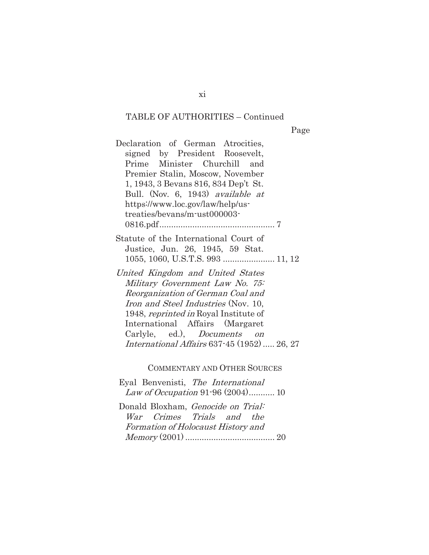Page

Declaration of German Atrocities, signed by President Roosevelt, Prime Minister Churchill and Premier Stalin, Moscow, November 1, 1943, 3 Bevans 816, 834 Dep't St. Bull. (Nov. 6, 1943) available at https://www.loc.gov/law/help/ustreaties/bevans/m-ust000003- 0816.pdf ................................................. 7

Statute of the International Court of Justice, Jun. 26, 1945, 59 Stat. 1055, 1060, U.S.T.S. 993 ...................... 11, 12

United Kingdom and United States Military Government Law No. 75: Reorganization of German Coal and Iron and Steel Industries (Nov. 10, 1948, reprinted in Royal Institute of International Affairs (Margaret Carlyle, ed.), Documents on International Affairs 637-45 (1952) ..... 26, 27

COMMENTARY AND OTHER SOURCES

Eyal Benvenisti, The International Law of Occupation 91-96 (2004)............ 10

Donald Bloxham, Genocide on Trial: War Crimes Trials and the Formation of Holocaust History and Memory (2001) ...................................... 20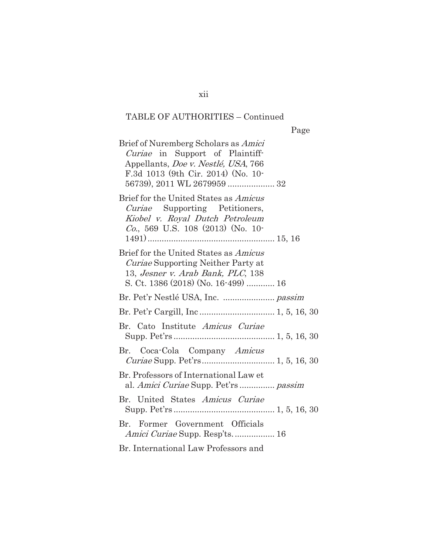| Brief of Nuremberg Scholars as Amici<br><i>Curiae</i> in Support of Plaintiff-<br>Appellants, Doe v. Nestlé, USA, 766<br>F.3d 1013 (9th Cir. 2014) (No. 10-<br>56739), 2011 WL 2679959  32 |
|--------------------------------------------------------------------------------------------------------------------------------------------------------------------------------------------|
| Brief for the United States as <i>Amicus</i><br><i>Curiae</i> Supporting Petitioners,<br>Kiobel v. Royal Dutch Petroleum<br><i>Co.</i> , 569 U.S. 108 $(2013)$ (No. 10-                    |
| Brief for the United States as Amicus<br><i>Curiae</i> Supporting Neither Party at<br>13, Jesner v. Arab Bank, PLC, 138<br>S. Ct. 1386 (2018) (No. 16-499)  16                             |
|                                                                                                                                                                                            |
|                                                                                                                                                                                            |
| Br. Cato Institute Amicus Curiae                                                                                                                                                           |
| Br. Coca-Cola Company Amicus<br>Curiae Supp. Pet'rs 1, 5, 16, 30                                                                                                                           |
| Br. Professors of International Law et<br>al. Amici Curiae Supp. Pet'rs  passim                                                                                                            |
| Br. United States Amicus Curiae                                                                                                                                                            |
| Br. Former Government Officials<br><i>Amici Curiae</i> Supp. Resp'ts 16                                                                                                                    |
| Br. International Law Professors and                                                                                                                                                       |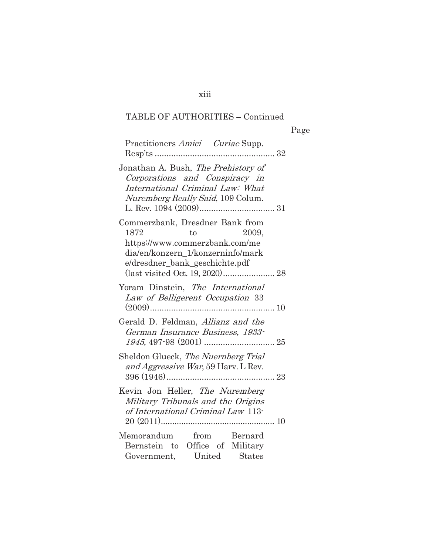| Practitioners Amici Curiae Supp.                                                                                                                                                                   | $\ldots$ 32 |
|----------------------------------------------------------------------------------------------------------------------------------------------------------------------------------------------------|-------------|
| Jonathan A. Bush, The Prehistory of<br>Corporations and Conspiracy in<br>International Criminal Law: What<br>Nuremberg Really Said, 109 Colum.                                                     |             |
| Commerzbank, Dresdner Bank from<br>1872<br>to<br>2009.<br>https://www.commerzbank.com/me<br>dia/en/konzern 1/konzerninfo/mark<br>e/dresdner_bank_geschichte.pdf<br>(last visited Oct. 19, 2020) 28 |             |
| Yoram Dinstein, The International<br>Law of Belligerent Occupation 33                                                                                                                              |             |
| Gerald D. Feldman, Allianz and the<br>German Insurance Business, 1933-                                                                                                                             |             |
| Sheldon Glueck, The Nuernberg Trial<br>and Aggressive War, 59 Harv. L Rev.                                                                                                                         |             |
| Kevin Jon Heller, The Nuremberg<br>Military Tribunals and the Origins<br>of International Criminal Law 113-                                                                                        |             |
| Memorandum from Bernard<br>Bernstein to Office of Military<br>Government, United States                                                                                                            |             |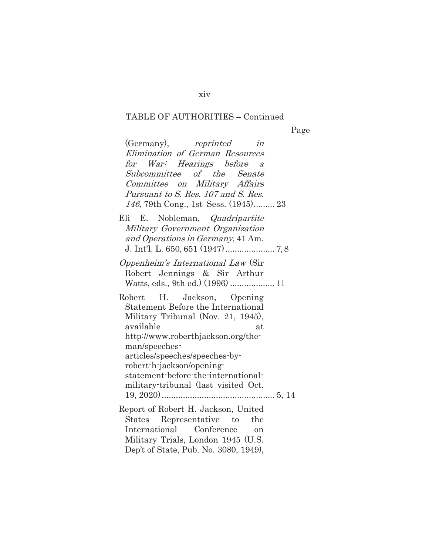Page

| (Germany), reprinted<br>in                                                                                                                                                                                                    |  |
|-------------------------------------------------------------------------------------------------------------------------------------------------------------------------------------------------------------------------------|--|
| Elimination of German Resources                                                                                                                                                                                               |  |
| for War: Hearings before<br>$\overline{a}$                                                                                                                                                                                    |  |
| Subcommittee of the Senate                                                                                                                                                                                                    |  |
| Committee on Military Affairs                                                                                                                                                                                                 |  |
| Pursuant to S. Res. 107 and S. Res.                                                                                                                                                                                           |  |
| 146, 79th Cong., 1st Sess. (1945) 23                                                                                                                                                                                          |  |
| Eli E. Nobleman, <i>Quadripartite</i><br>Military Government Organization<br>and Operations in Germany, 41 Am.                                                                                                                |  |
| Oppenheim's International Law (Sir<br>Robert Jennings & Sir Arthur                                                                                                                                                            |  |
| H. Jackson, Opening<br>${\rm Robert}$<br>Statement Before the International<br>Military Tribunal (Nov. 21, 1945),<br>available<br>at<br>http://www.roberthjackson.org/the-<br>man/speeches-<br>articles/speeches/speeches-by- |  |
| robert-h-jackson/opening-<br>statement-before-the-international-<br>military-tribunal (last visited Oct.                                                                                                                      |  |
| Report of Robert H. Jackson, United<br>Representative to<br>the<br>States<br>International Conference<br><sub>on</sub><br>Military Trials, London 1945 (U.S.<br>Dep't of State, Pub. No. 3080, 1949),                         |  |

xiv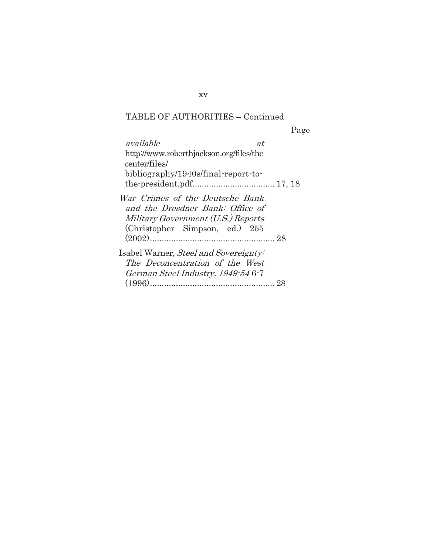Page available at http://www.roberthjackson.org/files/the center/files/ bibliography/1940s/final-report-tothe-president.pdf................................... 17, 18 War Crimes of the Deutsche Bank and the Dresdner Bank: Office of Military Government (U.S.) Reports (Christopher Simpson, ed.) 255 (2002) ..................................................... 28 Isabel Warner, Steel and Sovereignty: The Deconcentration of the West German Steel Industry, 1949-54 6-7 (1996) ..................................................... 28

xv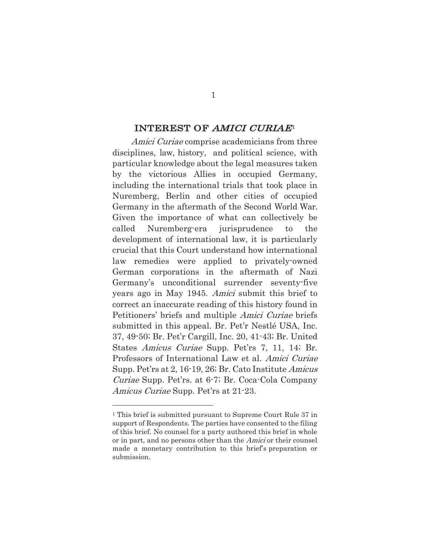#### INTEREST OF AMICI CURIAE<sup>1</sup>

Amici Curiae comprise academicians from three disciplines, law, history, and political science, with particular knowledge about the legal measures taken by the victorious Allies in occupied Germany, including the international trials that took place in Nuremberg, Berlin and other cities of occupied Germany in the aftermath of the Second World War. Given the importance of what can collectively be called Nuremberg-era jurisprudence to the development of international law, it is particularly crucial that this Court understand how international law remedies were applied to privately-owned German corporations in the aftermath of Nazi Germany's unconditional surrender seventy-five years ago in May 1945. Amici submit this brief to correct an inaccurate reading of this history found in Petitioners' briefs and multiple Amici Curiae briefs submitted in this appeal. Br. Pet'r Nestlé USA, Inc. 37, 49-50; Br. Pet'r Cargill, Inc. 20, 41-43; Br. United States Amicus Curiae Supp. Pet'rs 7, 11, 14; Br. Professors of International Law et al. Amici Curiae Supp. Pet'rs at 2, 16-19, 26; Br. Cato Institute Amicus Curiae Supp. Pet'rs. at 6-7; Br. Coca-Cola Company Amicus Curiae Supp. Pet'rs at 21-23.

<sup>1</sup> This brief is submitted pursuant to Supreme Court Rule 37 in support of Respondents. The parties have consented to the filing of this brief. No counsel for a party authored this brief in whole or in part, and no persons other than the Amici or their counsel made a monetary contribution to this brief's preparation or submission.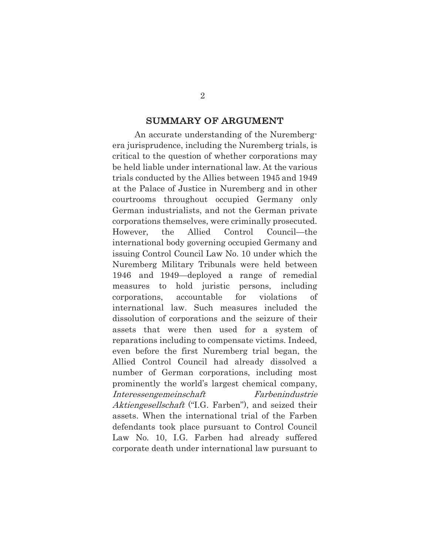### SUMMARY OF ARGUMENT

An accurate understanding of the Nurembergera jurisprudence, including the Nuremberg trials, is critical to the question of whether corporations may be held liable under international law. At the various trials conducted by the Allies between 1945 and 1949 at the Palace of Justice in Nuremberg and in other courtrooms throughout occupied Germany only German industrialists, and not the German private corporations themselves, were criminally prosecuted. However, the Allied Control Council—the international body governing occupied Germany and issuing Control Council Law No. 10 under which the Nuremberg Military Tribunals were held between 1946 and 1949—deployed a range of remedial measures to hold juristic persons, including corporations, accountable for violations of international law. Such measures included the dissolution of corporations and the seizure of their assets that were then used for a system of reparations including to compensate victims. Indeed, even before the first Nuremberg trial began, the Allied Control Council had already dissolved a number of German corporations, including most prominently the world's largest chemical company, Interessengemeinschaft Farbenindustrie Aktiengesellschaft ("I.G. Farben"), and seized their assets. When the international trial of the Farben defendants took place pursuant to Control Council Law No. 10, I.G. Farben had already suffered corporate death under international law pursuant to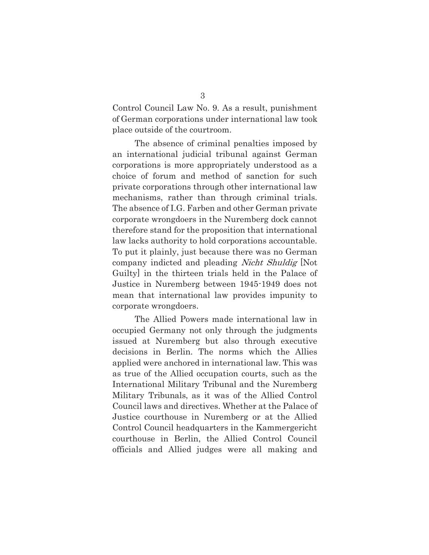Control Council Law No. 9. As a result, punishment of German corporations under international law took place outside of the courtroom.

The absence of criminal penalties imposed by an international judicial tribunal against German corporations is more appropriately understood as a choice of forum and method of sanction for such private corporations through other international law mechanisms, rather than through criminal trials. The absence of I.G. Farben and other German private corporate wrongdoers in the Nuremberg dock cannot therefore stand for the proposition that international law lacks authority to hold corporations accountable. To put it plainly, just because there was no German company indicted and pleading Nicht Shuldig [Not Guilty] in the thirteen trials held in the Palace of Justice in Nuremberg between 1945-1949 does not mean that international law provides impunity to corporate wrongdoers.

The Allied Powers made international law in occupied Germany not only through the judgments issued at Nuremberg but also through executive decisions in Berlin. The norms which the Allies applied were anchored in international law. This was as true of the Allied occupation courts, such as the International Military Tribunal and the Nuremberg Military Tribunals, as it was of the Allied Control Council laws and directives. Whether at the Palace of Justice courthouse in Nuremberg or at the Allied Control Council headquarters in the Kammergericht courthouse in Berlin, the Allied Control Council officials and Allied judges were all making and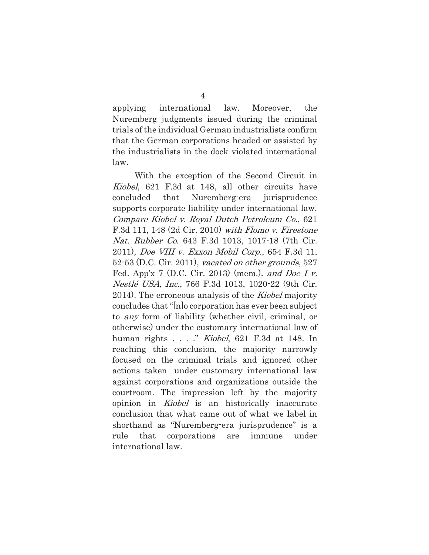applying international law. Moreover, the Nuremberg judgments issued during the criminal trials of the individual German industrialists confirm that the German corporations headed or assisted by the industrialists in the dock violated international law.

With the exception of the Second Circuit in Kiobel, 621 F.3d at 148, all other circuits have concluded that Nuremberg-era jurisprudence supports corporate liability under international law. Compare Kiobel v. Royal Dutch Petroleum Co., 621 F.3d 111, 148 (2d Cir. 2010) with Flomo v. Firestone Nat. Rubber Co. 643 F.3d 1013, 1017-18 (7th Cir. 2011), Doe VIII v. Exxon Mobil Corp., 654 F.3d 11, 52-53 (D.C. Cir. 2011), vacated on other grounds, 527 Fed. App'x 7 (D.C. Cir. 2013) (mem.), and Doe I v. Nestlé USA, Inc., 766 F.3d 1013, 1020-22 (9th Cir. 2014). The erroneous analysis of the *Kiobel* majority concludes that "[n]o corporation has ever been subject to any form of liability (whether civil, criminal, or otherwise) under the customary international law of human rights . . . ." Kiobel, 621 F.3d at 148. In reaching this conclusion, the majority narrowly focused on the criminal trials and ignored other actions taken under customary international law against corporations and organizations outside the courtroom. The impression left by the majority opinion in *Kiobel* is an historically inaccurate conclusion that what came out of what we label in shorthand as "Nuremberg-era jurisprudence" is a rule that corporations are immune under international law.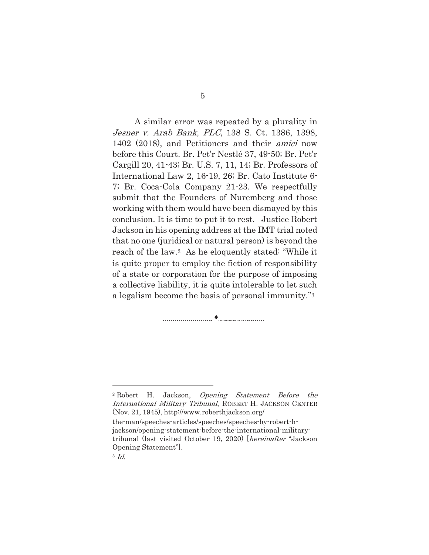A similar error was repeated by a plurality in Jesner v. Arab Bank, PLC, 138 S. Ct. 1386, 1398, 1402 (2018), and Petitioners and their amici now before this Court. Br. Pet'r Nestlé 37, 49-50; Br. Pet'r Cargill 20, 41-43; Br. U.S. 7, 11, 14; Br. Professors of International Law 2, 16-19, 26; Br. Cato Institute 6- 7; Br. Coca-Cola Company 21-23. We respectfully submit that the Founders of Nuremberg and those working with them would have been dismayed by this conclusion. It is time to put it to rest. Justice Robert Jackson in his opening address at the IMT trial noted that no one (juridical or natural person) is beyond the reach of the law.2 As he eloquently stated: "While it is quite proper to employ the fiction of responsibility of a state or corporation for the purpose of imposing a collective liability, it is quite intolerable to let such a legalism become the basis of personal immunity."3

i

<sup>2</sup> Robert H. Jackson, Opening Statement Before the International Military Tribunal, ROBERT H. JACKSON CENTER (Nov. 21, 1945), http://www.roberthjackson.org/

the-man/speeches-articles/speeches/speeches-by-robert-hjackson/opening-statement-before-the-international-militarytribunal (last visited October 19, 2020) [hereinafter "Jackson Opening Statement"].

<sup>3</sup> Id.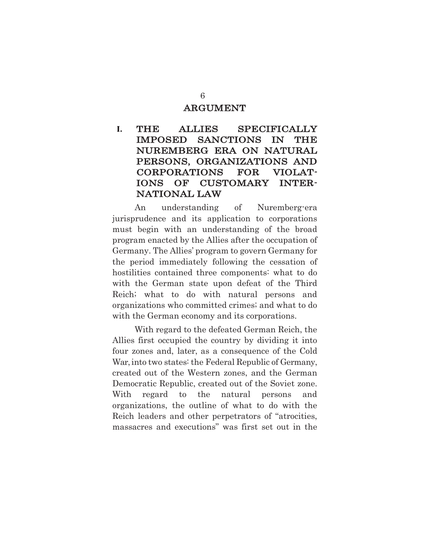#### ARGUMENT

## **I.** THE ALLIES SPECIFICALLY IMPOSED SANCTIONS IN THE NUREMBERG ERA ON NATURAL PERSONS, ORGANIZATIONS AND CORPORATIONS FOR VIOLAT-IONS OF CUSTOMARY INTER-NATIONAL LAW

An understanding of Nuremberg-era jurisprudence and its application to corporations must begin with an understanding of the broad program enacted by the Allies after the occupation of Germany. The Allies' program to govern Germany for the period immediately following the cessation of hostilities contained three components: what to do with the German state upon defeat of the Third Reich; what to do with natural persons and organizations who committed crimes; and what to do with the German economy and its corporations.

With regard to the defeated German Reich, the Allies first occupied the country by dividing it into four zones and, later, as a consequence of the Cold War, into two states: the Federal Republic of Germany, created out of the Western zones, and the German Democratic Republic, created out of the Soviet zone. With regard to the natural persons and organizations, the outline of what to do with the Reich leaders and other perpetrators of "atrocities, massacres and executions" was first set out in the

6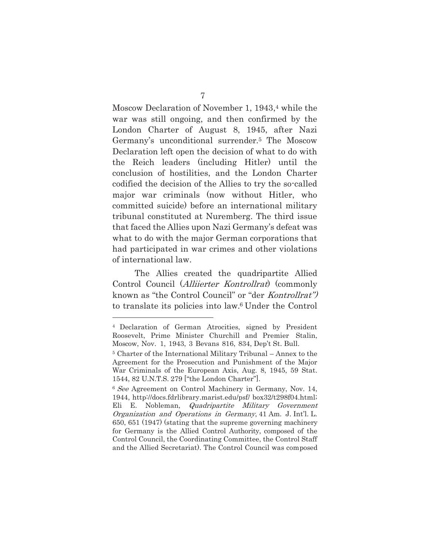Moscow Declaration of November 1, 1943,<sup>4</sup> while the war was still ongoing, and then confirmed by the London Charter of August 8, 1945, after Nazi Germany's unconditional surrender.5 The Moscow Declaration left open the decision of what to do with the Reich leaders (including Hitler) until the conclusion of hostilities, and the London Charter codified the decision of the Allies to try the so-called major war criminals (now without Hitler, who committed suicide) before an international military tribunal constituted at Nuremberg. The third issue that faced the Allies upon Nazi Germany's defeat was what to do with the major German corporations that had participated in war crimes and other violations of international law.

The Allies created the quadripartite Allied Control Council (*Alliierter Kontrollrat*) (commonly known as "the Control Council" or "der Kontrollrat") to translate its policies into law.6 Under the Control

<sup>4</sup> Declaration of German Atrocities, signed by President Roosevelt, Prime Minister Churchill and Premier Stalin, Moscow, Nov. 1, 1943, 3 Bevans 816, 834, Dep't St. Bull.

<sup>5</sup> Charter of the International Military Tribunal – Annex to the Agreement for the Prosecution and Punishment of the Major War Criminals of the European Axis, Aug. 8, 1945, 59 Stat. 1544, 82 U.N.T.S. 279 ["the London Charter"].

<sup>&</sup>lt;sup>6</sup> See Agreement on Control Machinery in Germany, Nov. 14, 1944, http://docs.fdrlibrary.marist.edu/psf/ box32/t298f04.html; Eli E. Nobleman, *Quadripartite Military Government* Organization and Operations in Germany, 41 Am. J. Int'l. L. 650, 651 (1947) (stating that the supreme governing machinery for Germany is the Allied Control Authority, composed of the Control Council, the Coordinating Committee, the Control Staff and the Allied Secretariat). The Control Council was composed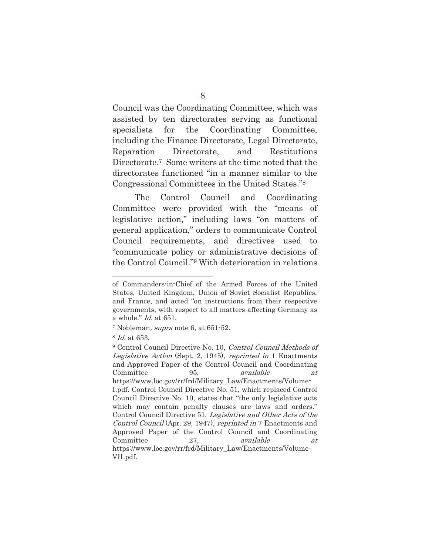Council was the Coordinating Committee, which was assisted by ten directorates serving as functional specialists for the Coordinating Committee, including the Finance Directorate, Legal Directorate, Reparation Directorate, and Restitutions Directorate.7 Some writers at the time noted that the directorates functioned "in a manner similar to the Congressional Committees in the United States."8

The Control Council and Coordinating Committee were provided with the "means of legislative action," including laws "on matters of general application," orders to communicate Control Council requirements, and directives used to "communicate policy or administrative decisions of the Control Council."9 With deterioration in relations

of Commanders-in-Chief of the Armed Forces of the United States, United Kingdom, Union of Soviet Socialist Republics, and France, and acted "on instructions from their respective governments, with respect to all matters affecting Germany as a whole." Id. at 651.

<sup>7</sup> Nobleman, supra note 6, at 651-52.

<sup>8</sup> Id. at 653.

<sup>9</sup> Control Council Directive No. 10, Control Council Methods of Legislative Action (Sept. 2, 1945), reprinted in 1 Enactments and Approved Paper of the Control Council and Coordinating Committee 95, available at https://www.loc.gov/rr/frd/Military\_Law/Enactments/Volume-I.pdf. Control Council Directive No. 51, which replaced Control Council Directive No. 10, states that "the only legislative acts which may contain penalty clauses are laws and orders." Control Council Directive 51, Legislative and Other Acts of the Control Council (Apr. 29, 1947), reprinted in 7 Enactments and Approved Paper of the Control Council and Coordinating Committee 27, available at https://www.loc.gov/rr/frd/Military\_Law/Enactments/Volume-VII.pdf.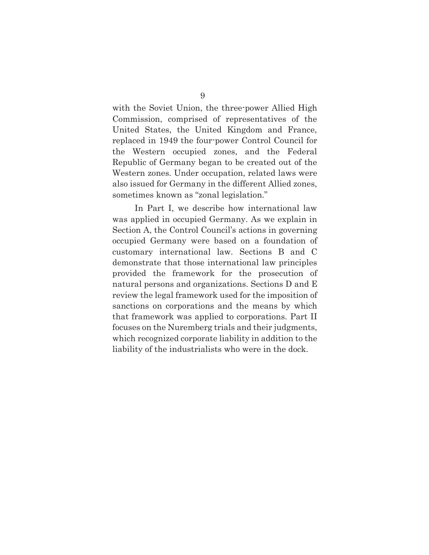with the Soviet Union, the three-power Allied High Commission, comprised of representatives of the United States, the United Kingdom and France, replaced in 1949 the four-power Control Council for the Western occupied zones, and the Federal Republic of Germany began to be created out of the Western zones. Under occupation, related laws were also issued for Germany in the different Allied zones, sometimes known as "zonal legislation."

In Part I, we describe how international law was applied in occupied Germany. As we explain in Section A, the Control Council's actions in governing occupied Germany were based on a foundation of customary international law. Sections B and C demonstrate that those international law principles provided the framework for the prosecution of natural persons and organizations. Sections D and E review the legal framework used for the imposition of sanctions on corporations and the means by which that framework was applied to corporations. Part II focuses on the Nuremberg trials and their judgments, which recognized corporate liability in addition to the liability of the industrialists who were in the dock.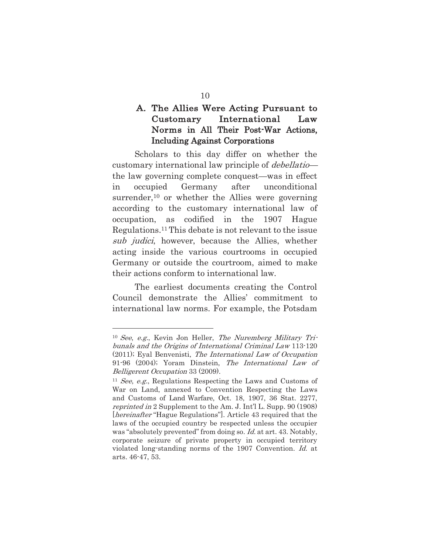### A. The Allies Were Acting Pursuant to Customary International Law Norms in All Their Post-War Actions, Including Against Corporations

Scholars to this day differ on whether the customary international law principle of debellatio the law governing complete conquest—was in effect in occupied Germany after unconditional surrender,<sup>10</sup> or whether the Allies were governing according to the customary international law of occupation, as codified in the 1907 Hague Regulations.11 This debate is not relevant to the issue sub judici, however, because the Allies, whether acting inside the various courtrooms in occupied Germany or outside the courtroom, aimed to make their actions conform to international law.

The earliest documents creating the Control Council demonstrate the Allies' commitment to international law norms. For example, the Potsdam

 $10$  See, e.g., Kevin Jon Heller, The Nuremberg Military Tribunals and the Origins of International Criminal Law 113-120 (2011); Eyal Benvenisti, The International Law of Occupation 91-96 (2004); Yoram Dinstein, The International Law of Belligerent Occupation 33 (2009).

 $11$  See, e.g., Regulations Respecting the Laws and Customs of War on Land, annexed to Convention Respecting the Laws and Customs of Land Warfare, Oct. 18, 1907, 36 Stat. 2277, reprinted in 2 Supplement to the Am. J. Int'l L. Supp. 90 (1908) [*hereinafter* "Hague Regulations"]. Article 43 required that the laws of the occupied country be respected unless the occupier was "absolutely prevented" from doing so. Id. at art. 43. Notably, corporate seizure of private property in occupied territory violated long-standing norms of the 1907 Convention. Id. at arts. 46-47, 53.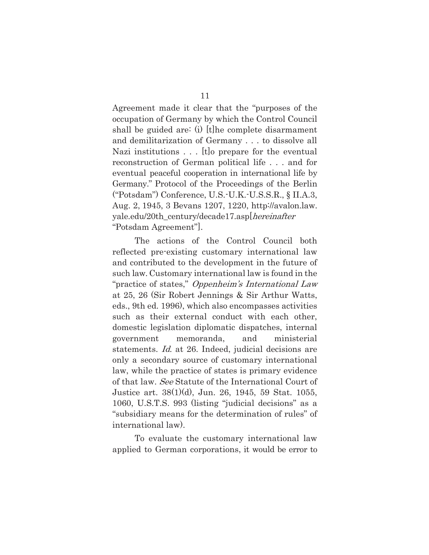Agreement made it clear that the "purposes of the occupation of Germany by which the Control Council shall be guided are: (i) [t]he complete disarmament and demilitarization of Germany . . . to dissolve all Nazi institutions . . . [t]o prepare for the eventual reconstruction of German political life . . . and for eventual peaceful cooperation in international life by Germany." Protocol of the Proceedings of the Berlin ("Potsdam") Conference, U.S.-U.K.-U.S.S.R., § II.A.3, Aug. 2, 1945, 3 Bevans 1207, 1220, http://avalon.law. yale.edu/20th\_century/decade17.asp[hereinafter "Potsdam Agreement"].

The actions of the Control Council both reflected pre-existing customary international law and contributed to the development in the future of such law. Customary international law is found in the "practice of states," Oppenheim's International Law at 25, 26 (Sir Robert Jennings & Sir Arthur Watts, eds., 9th ed. 1996), which also encompasses activities such as their external conduct with each other, domestic legislation diplomatic dispatches, internal government memoranda, and ministerial statements. Id. at 26. Indeed, judicial decisions are only a secondary source of customary international law, while the practice of states is primary evidence of that law. See Statute of the International Court of Justice art. 38(1)(d), Jun. 26, 1945, 59 Stat. 1055, 1060, U.S.T.S. 993 (listing "judicial decisions" as a "subsidiary means for the determination of rules" of international law).

To evaluate the customary international law applied to German corporations, it would be error to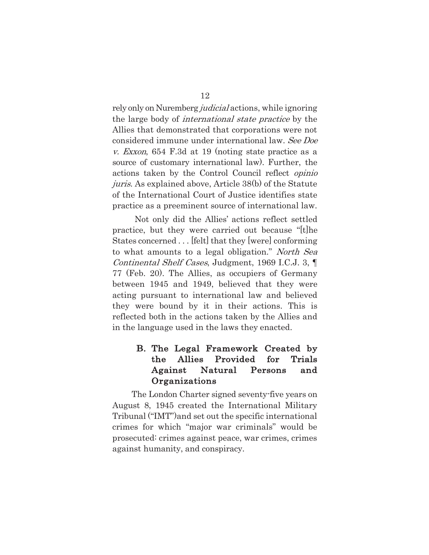rely only on Nuremberg *judicial* actions, while ignoring the large body of international state practice by the Allies that demonstrated that corporations were not considered immune under international law. See Doe v. Exxon, 654 F.3d at 19 (noting state practice as a source of customary international law). Further, the actions taken by the Control Council reflect opinio juris. As explained above, Article 38(b) of the Statute of the International Court of Justice identifies state practice as a preeminent source of international law.

Not only did the Allies' actions reflect settled practice, but they were carried out because "[t]he States concerned . . . [felt] that they [were] conforming to what amounts to a legal obligation." North Sea Continental Shelf Cases, Judgment, 1969 I.C.J. 3, ¶ 77 (Feb. 20). The Allies, as occupiers of Germany between 1945 and 1949, believed that they were acting pursuant to international law and believed they were bound by it in their actions. This is reflected both in the actions taken by the Allies and in the language used in the laws they enacted.

### B. The Legal Framework Created by the Allies Provided for Trials Against Natural Persons and **Organizations**

The London Charter signed seventy-five years on August 8, 1945 created the International Military Tribunal ("IMT")and set out the specific international crimes for which "major war criminals" would be prosecuted: crimes against peace, war crimes, crimes against humanity, and conspiracy.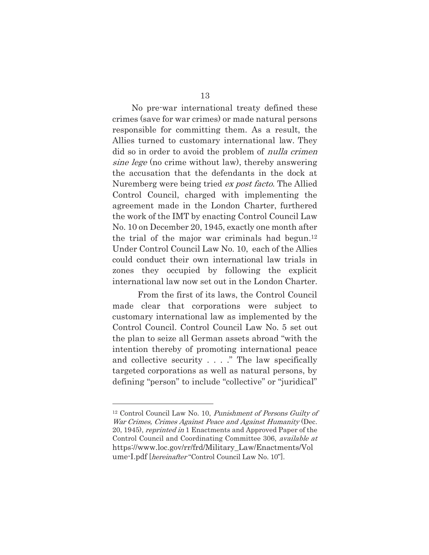No pre-war international treaty defined these crimes (save for war crimes) or made natural persons responsible for committing them. As a result, the Allies turned to customary international law. They did so in order to avoid the problem of *nulla crimen* sine lege (no crime without law), thereby answering the accusation that the defendants in the dock at Nuremberg were being tried *ex post facto*. The Allied Control Council, charged with implementing the agreement made in the London Charter, furthered the work of the IMT by enacting Control Council Law No. 10 on December 20, 1945, exactly one month after the trial of the major war criminals had begun.12 Under Control Council Law No. 10, each of the Allies could conduct their own international law trials in zones they occupied by following the explicit international law now set out in the London Charter.

From the first of its laws, the Control Council made clear that corporations were subject to customary international law as implemented by the Control Council. Control Council Law No. 5 set out the plan to seize all German assets abroad "with the intention thereby of promoting international peace and collective security . . . ." The law specifically targeted corporations as well as natural persons, by defining "person" to include "collective" or "juridical"

<sup>12</sup> Control Council Law No. 10, Punishment of Persons Guilty of War Crimes, Crimes Against Peace and Against Humanity (Dec. 20, 1945), reprinted in 1 Enactments and Approved Paper of the Control Council and Coordinating Committee 306, available at https://www.loc.gov/rr/frd/Military\_Law/Enactments/Vol ume-I.pdf [hereinafter "Control Council Law No. 10"].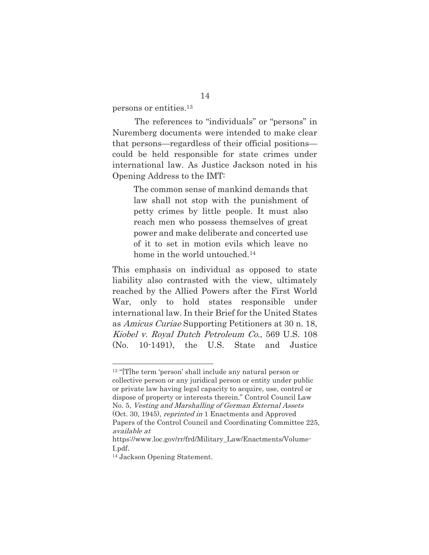persons or entities.13

The references to "individuals" or "persons" in Nuremberg documents were intended to make clear that persons—regardless of their official positions could be held responsible for state crimes under international law. As Justice Jackson noted in his Opening Address to the IMT:

> The common sense of mankind demands that law shall not stop with the punishment of petty crimes by little people. It must also reach men who possess themselves of great power and make deliberate and concerted use of it to set in motion evils which leave no home in the world untouched.<sup>14</sup>

This emphasis on individual as opposed to state liability also contrasted with the view, ultimately reached by the Allied Powers after the First World War, only to hold states responsible under international law. In their Brief for the United States as Amicus Curiae Supporting Petitioners at 30 n. 18, Kiobel v. Royal Dutch Petroleum Co., 569 U.S. 108 (No. 10-1491), the U.S. State and Justice

<sup>13 &</sup>quot;[T]he term 'person' shall include any natural person or collective person or any juridical person or entity under public or private law having legal capacity to acquire, use, control or dispose of property or interests therein." Control Council Law No. 5, Vesting and Marshalling of German External Assets (Oct. 30, 1945), reprinted in 1 Enactments and Approved Papers of the Control Council and Coordinating Committee 225, available at

https://www.loc.gov/rr/frd/Military\_Law/Enactments/Volume-I.pdf.

<sup>14</sup> Jackson Opening Statement.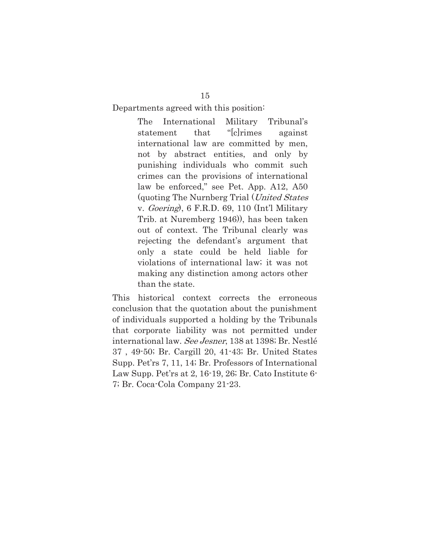Departments agreed with this position:

The International Military Tribunal's statement that "[c]rimes against international law are committed by men, not by abstract entities, and only by punishing individuals who commit such crimes can the provisions of international law be enforced," see Pet. App. A12, A50 (quoting The Nurnberg Trial (United States v. Goering), 6 F.R.D. 69, 110 (Int'l Military Trib. at Nuremberg 1946)), has been taken out of context. The Tribunal clearly was rejecting the defendant's argument that only a state could be held liable for violations of international law; it was not making any distinction among actors other than the state.

This historical context corrects the erroneous conclusion that the quotation about the punishment of individuals supported a holding by the Tribunals that corporate liability was not permitted under international law. See Jesner, 138 at 1398; Br. Nestlé 37 , 49-50; Br. Cargill 20, 41-43; Br. United States Supp. Pet'rs 7, 11, 14; Br. Professors of International Law Supp. Pet'rs at 2, 16-19, 26; Br. Cato Institute 6- 7; Br. Coca-Cola Company 21-23.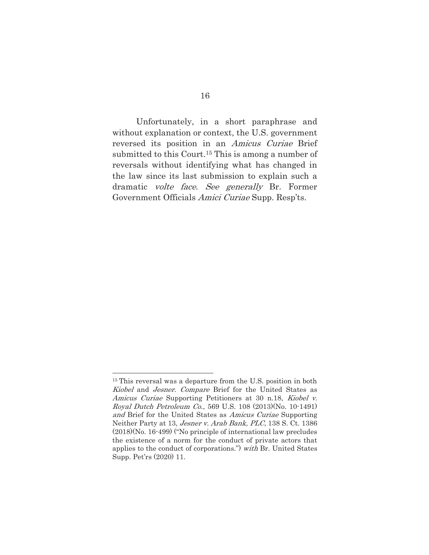Unfortunately, in a short paraphrase and without explanation or context, the U.S. government reversed its position in an Amicus Curiae Brief submitted to this Court.15 This is among a number of reversals without identifying what has changed in the law since its last submission to explain such a dramatic volte face. See generally Br. Former Government Officials Amici Curiae Supp. Resp'ts.

<sup>&</sup>lt;sup>15</sup> This reversal was a departure from the U.S. position in both Kiobel and Jesner. Compare Brief for the United States as Amicus Curiae Supporting Petitioners at 30 n.18, Kiobel v. Royal Dutch Petroleum Co., 569 U.S. 108 (2013)(No. 10-1491) and Brief for the United States as Amicus Curiae Supporting Neither Party at 13, Jesner v. Arab Bank, PLC, 138 S. Ct. 1386 (2018)(No. 16-499) ("No principle of international law precludes the existence of a norm for the conduct of private actors that applies to the conduct of corporations.") with Br. United States Supp. Pet'rs (2020) 11.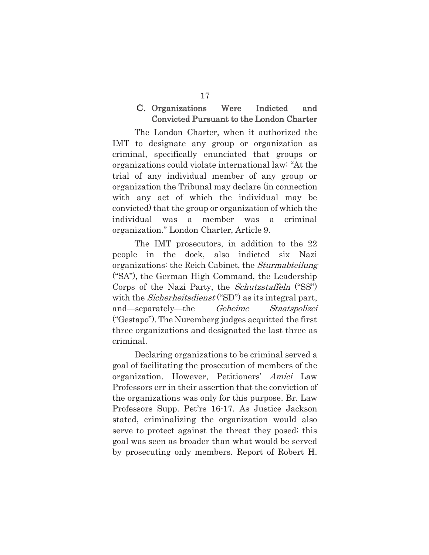### C. Organizations Were Indicted and Convicted Pursuant to the London Charter

The London Charter, when it authorized the IMT to designate any group or organization as criminal, specifically enunciated that groups or organizations could violate international law: "At the trial of any individual member of any group or organization the Tribunal may declare (in connection with any act of which the individual may be convicted) that the group or organization of which the individual was a member was a criminal organization." London Charter, Article 9.

The IMT prosecutors, in addition to the 22 people in the dock, also indicted six Nazi organizations: the Reich Cabinet, the Sturmabteilung ("SA"), the German High Command, the Leadership Corps of the Nazi Party, the *Schutzstaffeln* ("SS") with the *Sicherheitsdienst* ("SD") as its integral part, and—separately—the Geheime Staatspolizei ("Gestapo"). The Nuremberg judges acquitted the first three organizations and designated the last three as criminal.

Declaring organizations to be criminal served a goal of facilitating the prosecution of members of the organization. However, Petitioners' Amici Law Professors err in their assertion that the conviction of the organizations was only for this purpose. Br. Law Professors Supp. Pet'rs 16-17. As Justice Jackson stated, criminalizing the organization would also serve to protect against the threat they posed; this goal was seen as broader than what would be served by prosecuting only members. Report of Robert H.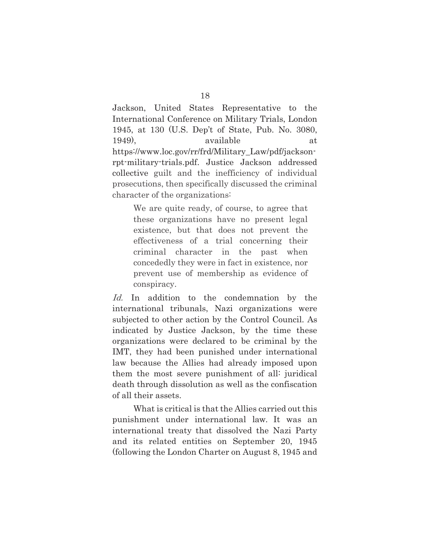Jackson, United States Representative to the International Conference on Military Trials, London 1945, at 130 (U.S. Dep't of State, Pub. No. 3080, 1949), available at https://www.loc.gov/rr/frd/Military\_Law/pdf/jacksonrpt-military-trials.pdf. Justice Jackson addressed collective guilt and the inefficiency of individual prosecutions, then specifically discussed the criminal character of the organizations:

> We are quite ready, of course, to agree that these organizations have no present legal existence, but that does not prevent the effectiveness of a trial concerning their criminal character in the past when concededly they were in fact in existence, nor prevent use of membership as evidence of conspiracy.

Id. In addition to the condemnation by the international tribunals, Nazi organizations were subjected to other action by the Control Council. As indicated by Justice Jackson, by the time these organizations were declared to be criminal by the IMT, they had been punished under international law because the Allies had already imposed upon them the most severe punishment of all: juridical death through dissolution as well as the confiscation of all their assets.

What is critical is that the Allies carried out this punishment under international law. It was an international treaty that dissolved the Nazi Party and its related entities on September 20, 1945 (following the London Charter on August 8, 1945 and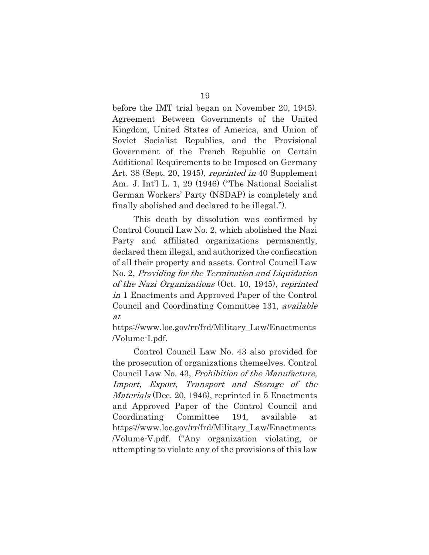before the IMT trial began on November 20, 1945). Agreement Between Governments of the United Kingdom, United States of America, and Union of Soviet Socialist Republics, and the Provisional Government of the French Republic on Certain Additional Requirements to be Imposed on Germany Art. 38 (Sept. 20, 1945), reprinted in 40 Supplement Am. J. Int'l L. 1, 29 (1946) ("The National Socialist German Workers' Party (NSDAP) is completely and finally abolished and declared to be illegal.").

This death by dissolution was confirmed by Control Council Law No. 2, which abolished the Nazi Party and affiliated organizations permanently, declared them illegal, and authorized the confiscation of all their property and assets. Control Council Law No. 2, Providing for the Termination and Liquidation of the Nazi Organizations (Oct. 10, 1945), reprinted in 1 Enactments and Approved Paper of the Control Council and Coordinating Committee 131, available at

https://www.loc.gov/rr/frd/Military\_Law/Enactments /Volume-I.pdf.

Control Council Law No. 43 also provided for the prosecution of organizations themselves. Control Council Law No. 43, Prohibition of the Manufacture, Import, Export, Transport and Storage of the Materials (Dec. 20, 1946), reprinted in 5 Enactments and Approved Paper of the Control Council and Coordinating Committee 194, available at https://www.loc.gov/rr/frd/Military\_Law/Enactments /Volume-V.pdf. ("Any organization violating, or attempting to violate any of the provisions of this law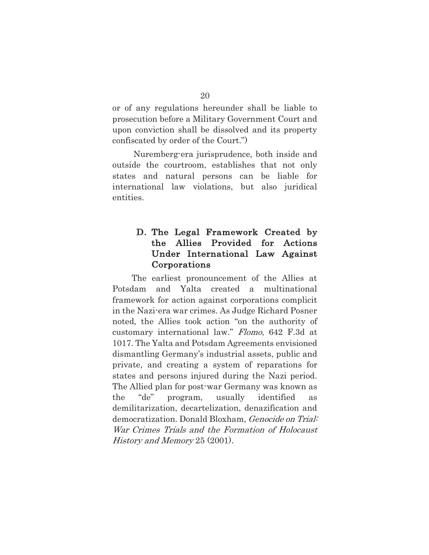or of any regulations hereunder shall be liable to prosecution before a Military Government Court and upon conviction shall be dissolved and its property confiscated by order of the Court.")

Nuremberg-era jurisprudence, both inside and outside the courtroom, establishes that not only states and natural persons can be liable for international law violations, but also juridical entities.

### D. The Legal Framework Created by the Allies Provided for Actions Under International Law Against Corporations

The earliest pronouncement of the Allies at Potsdam and Yalta created a multinational framework for action against corporations complicit in the Nazi-era war crimes. As Judge Richard Posner noted, the Allies took action "on the authority of customary international law." Flomo, 642 F.3d at 1017. The Yalta and Potsdam Agreements envisioned dismantling Germany's industrial assets, public and private, and creating a system of reparations for states and persons injured during the Nazi period. The Allied plan for post-war Germany was known as the "de" program, usually identified as demilitarization, decartelization, denazification and democratization. Donald Bloxham, Genocide on Trial: War Crimes Trials and the Formation of Holocaust History and Memory 25 (2001).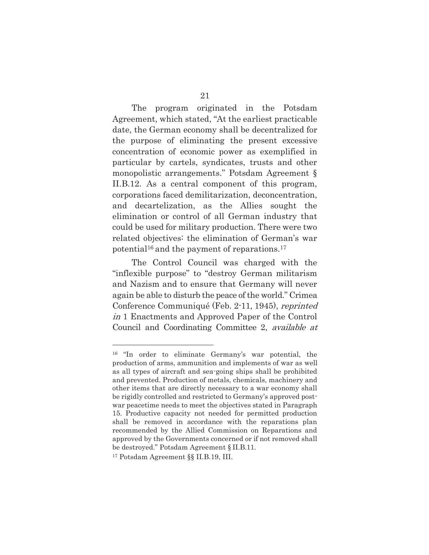The program originated in the Potsdam Agreement, which stated, "At the earliest practicable date, the German economy shall be decentralized for the purpose of eliminating the present excessive concentration of economic power as exemplified in particular by cartels, syndicates, trusts and other monopolistic arrangements." Potsdam Agreement § II.B.12. As a central component of this program, corporations faced demilitarization, deconcentration, and decartelization, as the Allies sought the elimination or control of all German industry that could be used for military production. There were two related objectives: the elimination of German's war potential16 and the payment of reparations.17

The Control Council was charged with the "inflexible purpose" to "destroy German militarism and Nazism and to ensure that Germany will never again be able to disturb the peace of the world." Crimea Conference Communiqué (Feb. 2-11, 1945), reprinted in 1 Enactments and Approved Paper of the Control Council and Coordinating Committee 2, available at

<sup>16 &</sup>quot;In order to eliminate Germany's war potential, the production of arms, ammunition and implements of war as well as all types of aircraft and sea-going ships shall be prohibited and prevented. Production of metals, chemicals, machinery and other items that are directly necessary to a war economy shall be rigidly controlled and restricted to Germany's approved postwar peacetime needs to meet the objectives stated in Paragraph 15. Productive capacity not needed for permitted production shall be removed in accordance with the reparations plan recommended by the Allied Commission on Reparations and approved by the Governments concerned or if not removed shall be destroyed." Potsdam Agreement § II.B.11.

<sup>17</sup> Potsdam Agreement §§ II.B.19, III.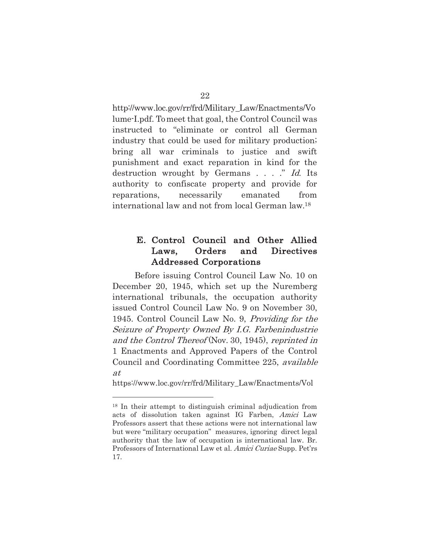http://www.loc.gov/rr/frd/Military\_Law/Enactments/Vo lume-I.pdf. To meet that goal, the Control Council was instructed to "eliminate or control all German industry that could be used for military production; bring all war criminals to justice and swift punishment and exact reparation in kind for the destruction wrought by Germans . . . ." Id. Its authority to confiscate property and provide for reparations, necessarily emanated from international law and not from local German law.18

### E. Control Council and Other Allied Laws, Orders and Directives Addressed Corporations

Before issuing Control Council Law No. 10 on December 20, 1945, which set up the Nuremberg international tribunals, the occupation authority issued Control Council Law No. 9 on November 30, 1945. Control Council Law No. 9, Providing for the Seizure of Property Owned By I.G. Farbenindustrie and the Control Thereof (Nov. 30, 1945), reprinted in 1 Enactments and Approved Papers of the Control Council and Coordinating Committee 225, available at

https://www.loc.gov/rr/frd/Military\_Law/Enactments/Vol

<sup>18</sup> In their attempt to distinguish criminal adjudication from acts of dissolution taken against IG Farben, Amici Law Professors assert that these actions were not international law but were "military occupation" measures, ignoring direct legal authority that the law of occupation is international law. Br. Professors of International Law et al. Amici Curiae Supp. Pet'rs 17.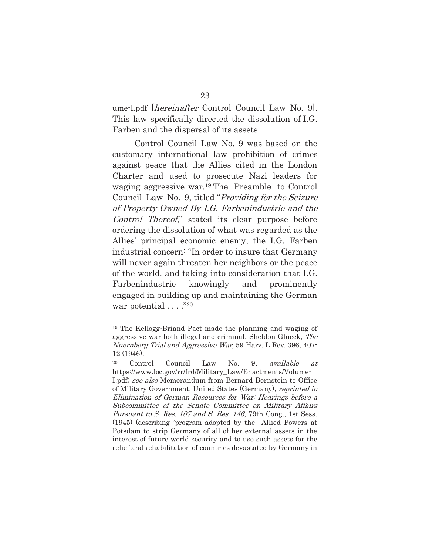ume-I.pdf [hereinafter Control Council Law No. 9]. This law specifically directed the dissolution of I.G. Farben and the dispersal of its assets.

Control Council Law No. 9 was based on the customary international law prohibition of crimes against peace that the Allies cited in the London Charter and used to prosecute Nazi leaders for waging aggressive war.19 The Preamble to Control Council Law No. 9, titled "Providing for the Seizure of Property Owned By I.G. Farbenindustrie and the Control Thereof," stated its clear purpose before ordering the dissolution of what was regarded as the Allies' principal economic enemy, the I.G. Farben industrial concern: "In order to insure that Germany will never again threaten her neighbors or the peace of the world, and taking into consideration that I.G. Farbenindustrie knowingly and prominently engaged in building up and maintaining the German war potential  $\dots$ ."<sup>20</sup>

<sup>19</sup> The Kellogg-Briand Pact made the planning and waging of aggressive war both illegal and criminal. Sheldon Glueck, The Nuernberg Trial and Aggressive War, 59 Harv. L Rev. 396, 407- 12 (1946).

<sup>20</sup> Control Council Law No. 9, available at https://www.loc.gov/rr/frd/Military\_Law/Enactments/Volume-I.pdf; see also Memorandum from Bernard Bernstein to Office of Military Government, United States (Germany), reprinted in Elimination of German Resources for War: Hearings before a Subcommittee of the Senate Committee on Military Affairs Pursuant to S. Res. 107 and S. Res. 146, 79th Cong., 1st Sess. (1945) (describing "program adopted by the Allied Powers at Potsdam to strip Germany of all of her external assets in the interest of future world security and to use such assets for the relief and rehabilitation of countries devastated by Germany in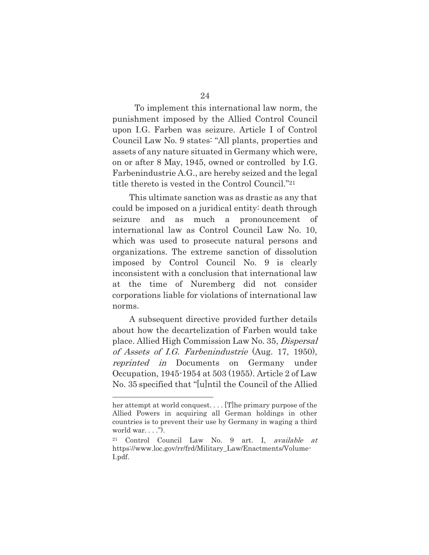To implement this international law norm, the punishment imposed by the Allied Control Council upon I.G. Farben was seizure. Article I of Control Council Law No. 9 states: "All plants, properties and assets of any nature situated in Germany which were, on or after 8 May, 1945, owned or controlled by I.G. Farbenindustrie A.G., are hereby seized and the legal title thereto is vested in the Control Council."21

This ultimate sanction was as drastic as any that could be imposed on a juridical entity: death through seizure and as much a pronouncement of international law as Control Council Law No. 10, which was used to prosecute natural persons and organizations. The extreme sanction of dissolution imposed by Control Council No. 9 is clearly inconsistent with a conclusion that international law at the time of Nuremberg did not consider corporations liable for violations of international law norms.

A subsequent directive provided further details about how the decartelization of Farben would take place. Allied High Commission Law No. 35, Dispersal of Assets of I.G. Farbenindustrie (Aug. 17, 1950), reprinted in Documents on Germany under Occupation, 1945-1954 at 503 (1955). Article 2 of Law No. 35 specified that "[u]ntil the Council of the Allied

her attempt at world conquest.... [T] he primary purpose of the Allied Powers in acquiring all German holdings in other countries is to prevent their use by Germany in waging a third world war.  $\ldots$ ").

<sup>21</sup> Control Council Law No. 9 art. I, available at https://www.loc.gov/rr/frd/Military\_Law/Enactments/Volume-I.pdf.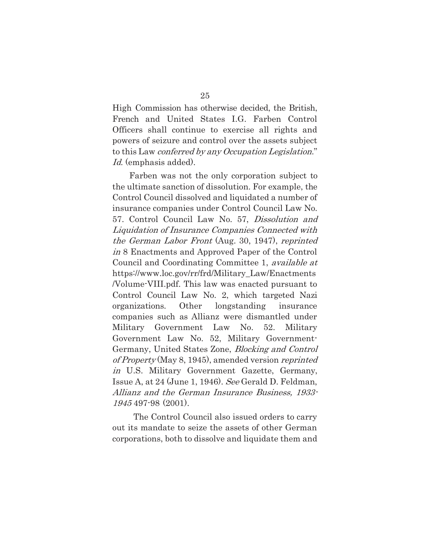High Commission has otherwise decided, the British, French and United States I.G. Farben Control Officers shall continue to exercise all rights and powers of seizure and control over the assets subject to this Law conferred by any Occupation Legislation." Id. (emphasis added).

Farben was not the only corporation subject to the ultimate sanction of dissolution. For example, the Control Council dissolved and liquidated a number of insurance companies under Control Council Law No. 57. Control Council Law No. 57, Dissolution and Liquidation of Insurance Companies Connected with the German Labor Front (Aug. 30, 1947), reprinted in 8 Enactments and Approved Paper of the Control Council and Coordinating Committee 1, *available at* https://www.loc.gov/rr/frd/Military\_Law/Enactments /Volume-VIII.pdf. This law was enacted pursuant to Control Council Law No. 2, which targeted Nazi organizations. Other longstanding insurance companies such as Allianz were dismantled under Military Government Law No. 52. Military Government Law No. 52, Military Government-Germany, United States Zone, Blocking and Control of Property (May 8, 1945), amended version reprinted in U.S. Military Government Gazette, Germany, Issue A, at 24 (June 1, 1946). See Gerald D. Feldman, Allianz and the German Insurance Business, 1933- 1945 497-98 (2001).

The Control Council also issued orders to carry out its mandate to seize the assets of other German corporations, both to dissolve and liquidate them and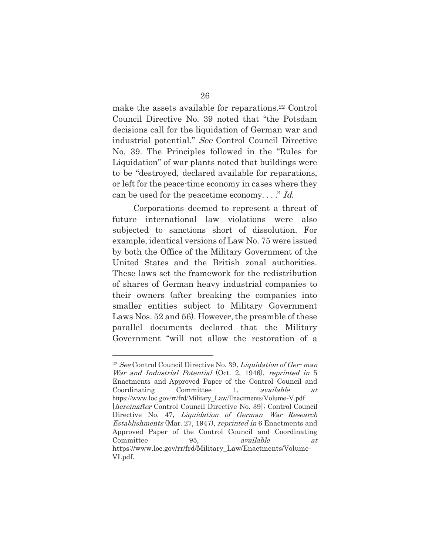make the assets available for reparations.22 Control Council Directive No. 39 noted that "the Potsdam decisions call for the liquidation of German war and industrial potential." See Control Council Directive No. 39. The Principles followed in the "Rules for Liquidation" of war plants noted that buildings were to be "destroyed, declared available for reparations, or left for the peace-time economy in cases where they can be used for the peacetime economy...." Id.

Corporations deemed to represent a threat of future international law violations were also subjected to sanctions short of dissolution. For example, identical versions of Law No. 75 were issued by both the Office of the Military Government of the United States and the British zonal authorities. These laws set the framework for the redistribution of shares of German heavy industrial companies to their owners (after breaking the companies into smaller entities subject to Military Government Laws Nos. 52 and 56). However, the preamble of these parallel documents declared that the Military Government "will not allow the restoration of a

 $22$  See Control Council Directive No. 39, *Liquidation of Ger-man* War and Industrial Potential (Oct. 2, 1946), reprinted in 5 Enactments and Approved Paper of the Control Council and Coordinating Committee 1, available at https://www.loc.gov/rr/frd/Military\_Law/Enactments/Volume-V.pdf [hereinafter Control Council Directive No. 39]; Control Council Directive No. 47, Liquidation of German War Research Establishments (Mar. 27, 1947), reprinted in 6 Enactments and Approved Paper of the Control Council and Coordinating Committee 95, available at https://www.loc.gov/rr/frd/Military\_Law/Enactments/Volume-VI.pdf.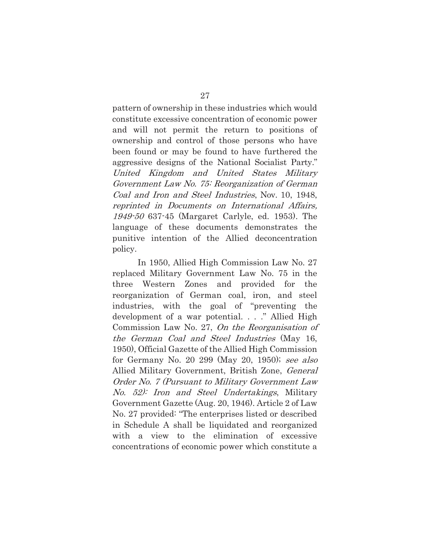pattern of ownership in these industries which would constitute excessive concentration of economic power and will not permit the return to positions of ownership and control of those persons who have been found or may be found to have furthered the aggressive designs of the National Socialist Party." United Kingdom and United States Military Government Law No. 75: Reorganization of German Coal and Iron and Steel Industries, Nov. 10, 1948, reprinted in Documents on International Affairs, 1949-50 637-45 (Margaret Carlyle, ed. 1953). The language of these documents demonstrates the punitive intention of the Allied deconcentration policy.

In 1950, Allied High Commission Law No. 27 replaced Military Government Law No. 75 in the three Western Zones and provided for the reorganization of German coal, iron, and steel industries, with the goal of "preventing the development of a war potential. . . ." Allied High Commission Law No. 27, On the Reorganisation of the German Coal and Steel Industries (May 16, 1950), Official Gazette of the Allied High Commission for Germany No. 20 299 (May 20, 1950); see also Allied Military Government, British Zone, General Order No. 7 (Pursuant to Military Government Law No. 52): Iron and Steel Undertakings, Military Government Gazette (Aug. 20, 1946). Article 2 of Law No. 27 provided: "The enterprises listed or described in Schedule A shall be liquidated and reorganized with a view to the elimination of excessive concentrations of economic power which constitute a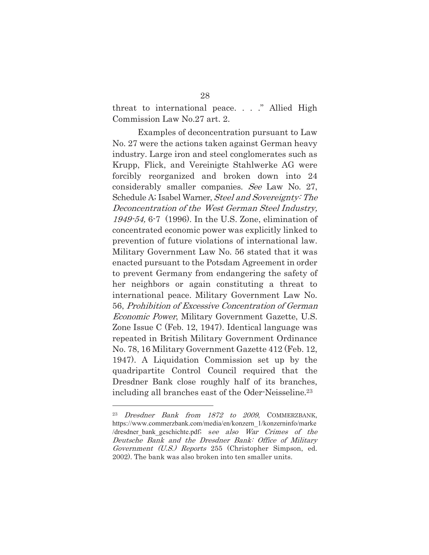threat to international peace. . . ." Allied High Commission Law No.27 art. 2.

Examples of deconcentration pursuant to Law No. 27 were the actions taken against German heavy industry. Large iron and steel conglomerates such as Krupp, Flick, and Vereinigte Stahlwerke AG were forcibly reorganized and broken down into 24 considerably smaller companies. See Law No. 27, Schedule A; Isabel Warner, Steel and Sovereignty: The Deconcentration of the West German Steel Industry, 1949-54, 6-7 (1996). In the U.S. Zone, elimination of concentrated economic power was explicitly linked to prevention of future violations of international law. Military Government Law No. 56 stated that it was enacted pursuant to the Potsdam Agreement in order to prevent Germany from endangering the safety of her neighbors or again constituting a threat to international peace. Military Government Law No. 56, Prohibition of Excessive Concentration of German Economic Power, Military Government Gazette, U.S. Zone Issue C (Feb. 12, 1947). Identical language was repeated in British Military Government Ordinance No. 78, 16 Military Government Gazette 412 (Feb. 12, 1947). A Liquidation Commission set up by the quadripartite Control Council required that the Dresdner Bank close roughly half of its branches, including all branches east of the Oder-Neisseline.23

<sup>23</sup> Dresdner Bank from 1872 to 2009, COMMERZBANK, https://www.commerzbank.com/media/en/konzern\_1/konzerninfo/marke /dresdner\_bank\_geschichte.pdf; see also War Crimes of the Deutsche Bank and the Dresdner Bank: Office of Military Government (U.S.) Reports 255 (Christopher Simpson, ed. 2002). The bank was also broken into ten smaller units.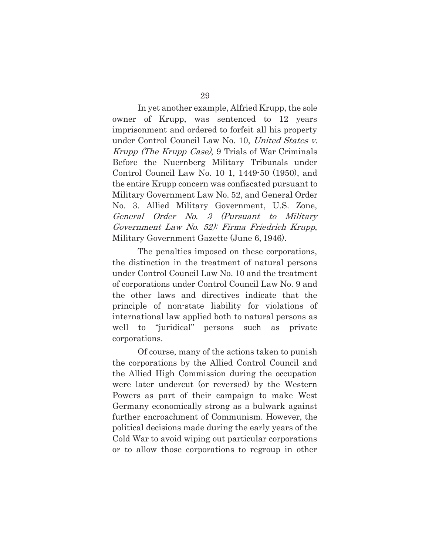In yet another example, Alfried Krupp, the sole owner of Krupp, was sentenced to 12 years imprisonment and ordered to forfeit all his property under Control Council Law No. 10, United States v. Krupp (The Krupp Case), 9 Trials of War Criminals Before the Nuernberg Military Tribunals under Control Council Law No. 10 1, 1449-50 (1950), and the entire Krupp concern was confiscated pursuant to Military Government Law No. 52, and General Order No. 3. Allied Military Government, U.S. Zone, General Order No. 3 (Pursuant to Military Government Law No. 52): Firma Friedrich Krupp, Military Government Gazette (June 6, 1946).

The penalties imposed on these corporations, the distinction in the treatment of natural persons under Control Council Law No. 10 and the treatment of corporations under Control Council Law No. 9 and the other laws and directives indicate that the principle of non-state liability for violations of international law applied both to natural persons as well to "juridical" persons such as private corporations.

Of course, many of the actions taken to punish the corporations by the Allied Control Council and the Allied High Commission during the occupation were later undercut (or reversed) by the Western Powers as part of their campaign to make West Germany economically strong as a bulwark against further encroachment of Communism. However, the political decisions made during the early years of the Cold War to avoid wiping out particular corporations or to allow those corporations to regroup in other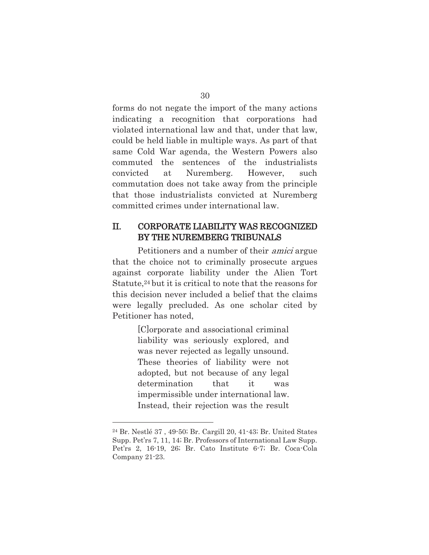forms do not negate the import of the many actions indicating a recognition that corporations had violated international law and that, under that law, could be held liable in multiple ways. As part of that same Cold War agenda, the Western Powers also commuted the sentences of the industrialists convicted at Nuremberg. However, such commutation does not take away from the principle that those industrialists convicted at Nuremberg committed crimes under international law.

### II. CORPORATE LIABILITY WAS RECOGNIZED BY THE NUREMBERG TRIBUNALS

Petitioners and a number of their amici argue that the choice not to criminally prosecute argues against corporate liability under the Alien Tort Statute,<sup>24</sup> but it is critical to note that the reasons for this decision never included a belief that the claims were legally precluded. As one scholar cited by Petitioner has noted,

> [C]orporate and associational criminal liability was seriously explored, and was never rejected as legally unsound. These theories of liability were not adopted, but not because of any legal determination that it was impermissible under international law. Instead, their rejection was the result

<sup>24</sup> Br. Nestlé 37 , 49-50; Br. Cargill 20, 41-43; Br. United States Supp. Pet'rs 7, 11, 14; Br. Professors of International Law Supp. Pet'rs 2, 16-19, 26; Br. Cato Institute 6-7; Br. Coca-Cola Company 21-23.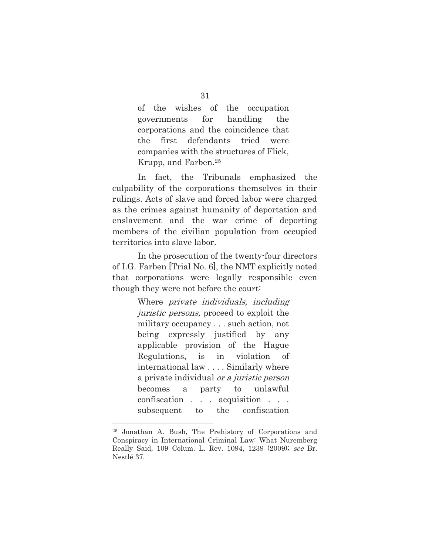of the wishes of the occupation governments for handling the corporations and the coincidence that the first defendants tried were companies with the structures of Flick, Krupp, and Farben.25

In fact, the Tribunals emphasized the culpability of the corporations themselves in their rulings. Acts of slave and forced labor were charged as the crimes against humanity of deportation and enslavement and the war crime of deporting members of the civilian population from occupied territories into slave labor.

In the prosecution of the twenty-four directors of I.G. Farben [Trial No. 6], the NMT explicitly noted that corporations were legally responsible even though they were not before the court:

> Where *private individuals*, *including* juristic persons, proceed to exploit the military occupancy . . . such action, not being expressly justified by any applicable provision of the Hague Regulations, is in violation of international law . . . . Similarly where a private individual or a juristic person becomes a party to unlawful confiscation . . . acquisition . . . subsequent to the confiscation

<sup>25</sup> Jonathan A. Bush, The Prehistory of Corporations and Conspiracy in International Criminal Law: What Nuremberg Really Said, 109 Colum. L. Rev. 1094, 1239 (2009); see Br. Nestlé 37.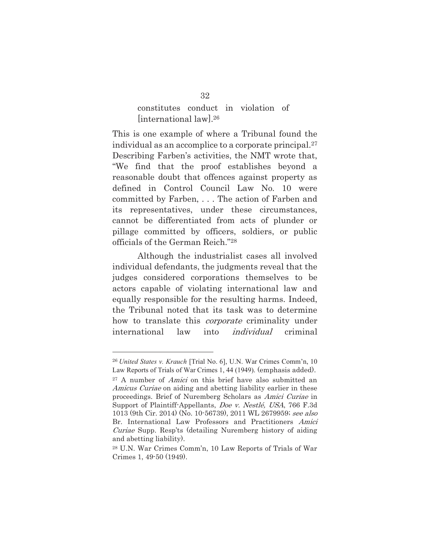### constitutes conduct in violation of [international law].26

This is one example of where a Tribunal found the individual as an accomplice to a corporate principal.27 Describing Farben's activities, the NMT wrote that, "We find that the proof establishes beyond a reasonable doubt that offences against property as defined in Control Council Law No. 10 were committed by Farben, . . . The action of Farben and its representatives, under these circumstances, cannot be differentiated from acts of plunder or pillage committed by officers, soldiers, or public officials of the German Reich."28

Although the industrialist cases all involved individual defendants, the judgments reveal that the judges considered corporations themselves to be actors capable of violating international law and equally responsible for the resulting harms. Indeed, the Tribunal noted that its task was to determine how to translate this *corporate* criminality under international law into individual criminal

<sup>26</sup>*United States v. Krauch* [Trial No. 6], U.N. War Crimes Comm'n, 10 Law Reports of Trials of War Crimes 1, 44 (1949). (emphasis added). <sup>27</sup> A number of *Amici* on this brief have also submitted an Amicus Curiae on aiding and abetting liability earlier in these proceedings. Brief of Nuremberg Scholars as Amici Curiae in Support of Plaintiff-Appellants, Doe v. Nestlé, USA, 766 F.3d 1013 (9th Cir. 2014) (No. 10-56739), 2011 WL 2679959; see also Br. International Law Professors and Practitioners Amici Curiae Supp. Resp'ts (detailing Nuremberg history of aiding and abetting liability).

<sup>28</sup> U.N. War Crimes Comm'n, 10 Law Reports of Trials of War Crimes 1, 49-50 (1949).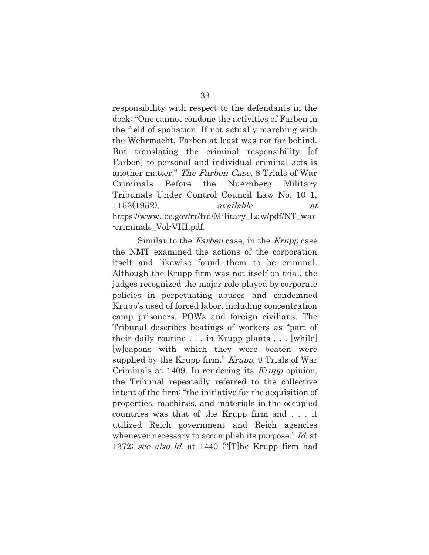responsibility with respect to the defendants in the dock: "One cannot condone the activities of Farben in the field of spoliation. If not actually marching with the Wehrmacht, Farben at least was not far behind. But translating the criminal responsibility of Farben] to personal and individual criminal acts is another matter." The Farben Case, 8 Trials of War Criminals Before the Nuernberg Military Tribunals Under Control Council Law No. 10 1,  $1153(1952)$ , available at https://www.loc.gov/rr/frd/Military\_Law/pdf/NT\_war -criminals\_Vol-VIII.pdf.

Similar to the *Farben* case, in the *Krupp* case the NMT examined the actions of the corporation itself and likewise found them to be criminal. Although the Krupp firm was not itself on trial, the judges recognized the major role played by corporate policies in perpetuating abuses and condemned Krupp's used of forced labor, including concentration camp prisoners, POWs and foreign civilians. The Tribunal describes beatings of workers as "part of their daily routine . . . in Krupp plants . . . [while] [w]eapons with which they were beaten were supplied by the Krupp firm." *Krupp*, 9 Trials of War Criminals at 1409. In rendering its *Krupp* opinion, the Tribunal repeatedly referred to the collective intent of the firm: "the initiative for the acquisition of properties, machines, and materials in the occupied countries was that of the Krupp firm and . . . it utilized Reich government and Reich agencies whenever necessary to accomplish its purpose." Id. at 1372; see also id. at 1440 ("The Krupp firm had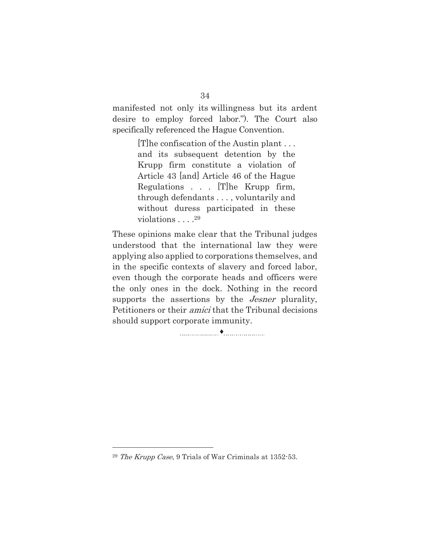manifested not only its willingness but its ardent desire to employ forced labor."). The Court also specifically referenced the Hague Convention.

> [T]he confiscation of the Austin plant . . . and its subsequent detention by the Krupp firm constitute a violation of Article 43 [and] Article 46 of the Hague Regulations . . . [T]he Krupp firm, through defendants . . . , voluntarily and without duress participated in these violations . . . .<sup>29</sup>

These opinions make clear that the Tribunal judges understood that the international law they were applying also applied to corporations themselves, and in the specific contexts of slavery and forced labor, even though the corporate heads and officers were the only ones in the dock. Nothing in the record supports the assertions by the *Jesner* plurality, Petitioners or their amici that the Tribunal decisions should support corporate immunity.

i

<sup>29</sup> The Krupp Case, 9 Trials of War Criminals at 1352-53.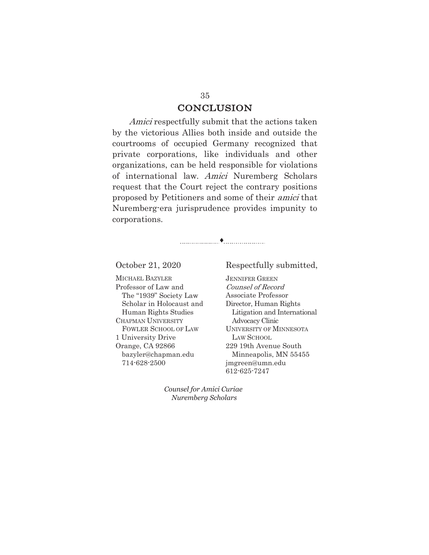### **CONCLUSION**

Amici respectfully submit that the actions taken by the victorious Allies both inside and outside the courtrooms of occupied Germany recognized that private corporations, like individuals and other organizations, can be held responsible for violations of international law. Amici Nuremberg Scholars request that the Court reject the contrary positions proposed by Petitioners and some of their amici that Nuremberg-era jurisprudence provides impunity to corporations.

i

MICHAEL BAZYLER Professor of Law and The "1939" Society Law Scholar in Holocaust and Human Rights Studies CHAPMAN UNIVERSITY FOWLER SCHOOL OF LAW 1 University Drive Orange, CA 92866 bazyler@chapman.edu 714-628-2500

#### October 21, 2020 Respectfully submitted,

JENNIFER GREEN Counsel of Record Associate Professor Director, Human Rights Litigation and International Advocacy Clinic UNIVERSITY OF MINNESOTA LAW SCHOOL 229 19th Avenue South Minneapolis, MN 55455 jmgreen@umn.edu 612-625-7247

*Counsel for Amici Curiae Nuremberg Scholars*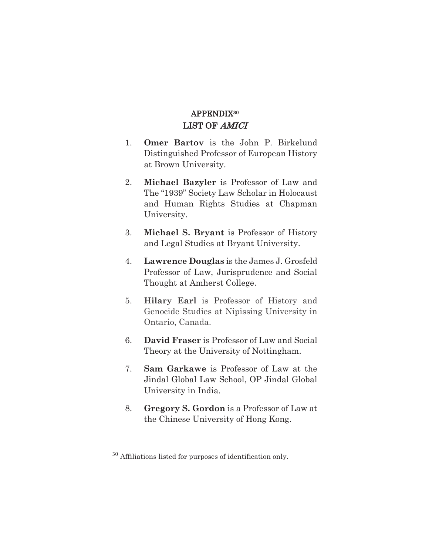### APPENDIX<sup>30</sup> LIST OF AMICI

- 1. **Omer Bartov** is the John P. Birkelund Distinguished Professor of European History at Brown University.
- 2. **Michael Bazyler** is Professor of Law and The "1939" Society Law Scholar in Holocaust and Human Rights Studies at Chapman University.
- 3. **Michael S. Bryant** is Professor of History and Legal Studies at Bryant University.
- 4. **Lawrence Douglas** is the James J. Grosfeld Professor of Law, Jurisprudence and Social Thought at Amherst College.
- 5. **Hilary Earl** is Professor of History and Genocide Studies at Nipissing University in Ontario, Canada.
- 6. **David Fraser** is Professor of Law and Social Theory at the University of Nottingham.
- 7. **Sam Garkawe** is Professor of Law at the Jindal Global Law School, OP Jindal Global University in India*.*
- 8. **Gregory S. Gordon** is a Professor of Law at the Chinese University of Hong Kong.

<sup>30</sup> Affiliations listed for purposes of identification only.